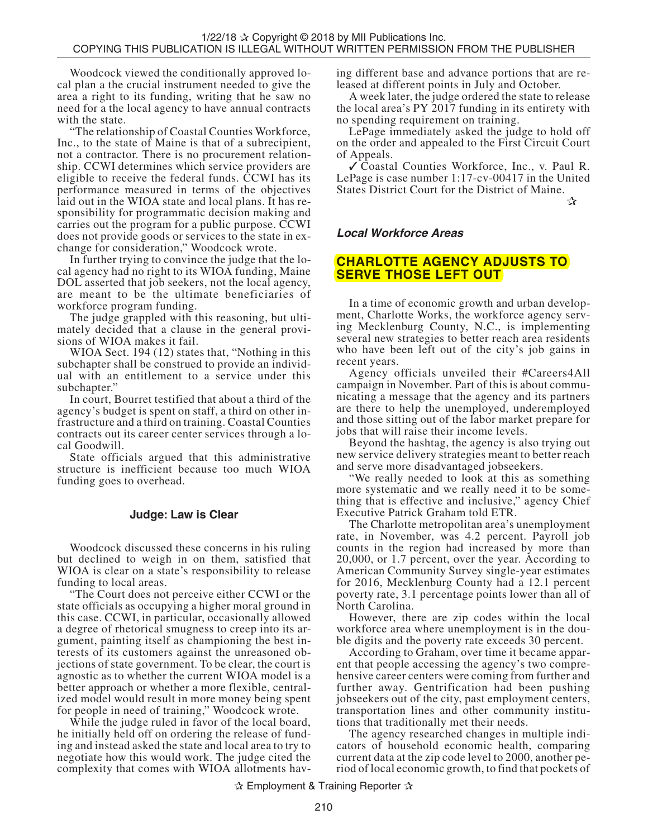Woodcock viewed the conditionally approved lo-<br>cal plan a the crucial instrument needed to give the area a right to its funding, writing that he saw no need for a the local agency to have annual contracts with the state.

"The relationship of Coastal Counties Workforce, Inc., to the state of Maine is that of a subrecipient, not a contractor. There is no procurement relation- ship. CCWI determines which service providers are eligible to receive the federal funds. CCWI has its performance measured in terms of the objectives laid out in the WIOA state and local plans. It has re- sponsibility for programmatic decision making and carries out the program for a public purpose. CCWI does not provide goods or services to the state in ex- change for consideration," Woodcock wrote.

In further trying to convince the judge that the lo- cal agency had no right to its WIOA funding, Maine DOL asserted that job seekers, not the local agency, are meant to be the ultimate beneficiaries of workforce program funding.

The judge grappled with this reasoning, but ulti-<br>mately decided that a clause in the general provi-<br>sions of WIOA makes it fail.

WIOA Sect. 194 (12) states that, "Nothing in this subchapter shall be construed to provide an individual with an entitlement to a service under this subchapter."

In court, Bourret testified that about a third of the agency's budget is spent on staff, a third on other infrastructure and a third on training. Coastal Counties contracts out its career center services through a local Goodwill.

State officials argued that this administrative structure is inefficient because too much WIOA funding goes to overhead.

## **Judge: Law is Clear**

Woodcock discussed these concerns in his ruling but declined to weigh in on them, satisfied that WIOA is clear on a state's responsibility to release funding to local areas.

"The Court does not perceive either CCWI or the state officials as occupying a higher moral ground in this case. CCWI, in particular, occasionally allowed a degree of rhetorical smugness to creep into its argument, painting itself as championing the best interests of its customers against the unreasoned objections of state government. To be clear, the court is agnostic as to whether the current WIOA model is a better approach or whether a more flexible, centralized model would result in more money being spent for people in need of training," Woodcock wrote.

While the judge ruled in favor of the local board, he initially held off on ordering the release of funding and instead asked the state and local area to try to negotiate how this would work. The judge cited the complexity that comes with WIOA allotments having different base and advance portions that are re- leased at different points in July and October.

A week later, the judge ordered the state to release the local area's PY 2017 funding in its entirety with no spending requirement on training.

LePage immediately asked the judge to hold off on the order and appealed to the First Circuit Court of Appeals.

✓ Coastal Counties Workforce, Inc., v. Paul R. LePage is case number 1:17-cv-00417 in the United States District Court for the District of Maine.

 $\mathbf{r}$ 

## **Local Workforce Areas**

# **CHARLOTTE AGENCY ADJUSTS TO SERVE THOSE LEFT OUT**

In a time of economic growth and urban develop-<br>ment, Charlotte Works, the workforce agency serv-<br>ing Mecklenburg County, N.C., is implementing several new strategies to better reach area residents who have been left out of the city's job gains in recent years.

Agency officials unveiled their #Careers4All campaign in November. Part of this is about communicating a message that the agency and its partners are there to help the unemployed, underemployed and those sitting out of the labor market prepare for jobs that will raise their income levels.

Beyond the hashtag, the agency is also trying out new service delivery strategies meant to better reach and serve more disadvantaged jobseekers.

"We really needed to look at this as something more systematic and we really need it to be something that is effective and inclusive," agency Chief Executive Patrick Graham told ETR.

The Charlotte metropolitan area's unemployment rate, in November, was 4.2 percent. Payroll job counts in the region had increased by more than 20,000, or 1.7 percent, over the year. According to American Community Survey single-year estimates for 2016, Mecklenburg County had a 12.1 percent poverty rate, 3.1 percentage points lower than all of North Carolina.

However, there are zip codes within the local workforce area where unemployment is in the double digits and the poverty rate exceeds 30 percent.

According to Graham, over time it became apparent that people accessing the agency's two comprehensive career centers were coming from further and further away. Gentrification had been pushing jobseekers out of the city, past employment centers, transportation lines and other community institutions that traditionally met their needs.

The agency researched changes in multiple indicators of household economic health, comparing current data at the zip code level to 2000, another period of local economic growth, to find that pockets of

✰ Employment & Training Reporter ✰